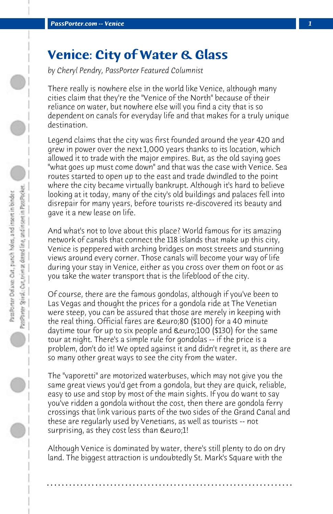## **Venice: City of Water & Glass**

*by Cheryl Pendry, PassPorter Featured Columnist*

There really is nowhere else in the world like Venice, although many cities claim that they're the "Venice of the North" because of their reliance on water, but nowhere else will you find a city that is so dependent on canals for everyday life and that makes for a truly unique destination.

Legend claims that the city was first founded around the year 420 and grew in power over the next 1,000 years thanks to its location, which allowed it to trade with the major empires. But, as the old saying goes "what goes up must come down" and that was the case with Venice. Sea routes started to open up to the east and trade dwindled to the point where the city became virtually bankrupt. Although it's hard to believe looking at it today, many of the city's old buildings and palaces fell into disrepair for many years, before tourists re-discovered its beauty and gave it a new lease on life.

And what's not to love about this place? World famous for its amazing network of canals that connect the 118 islands that make up this city, Venice is peppered with arching bridges on most streets and stunning views around every corner. Those canals will become your way of life during your stay in Venice, either as you cross over them on foot or as you take the water transport that is the lifeblood of the city.

Of course, there are the famous gondolas, although if you've been to Las Vegas and thought the prices for a gondola ride at The Venetian were steep, you can be assured that those are merely in keeping with the real thing. Official fares are €80 (\$100) for a 40 minute daytime tour for up to six people and €100 (\$130) for the same tour at night. There's a simple rule for gondolas -- if the price is a problem, don't do it! We opted against it and didn't regret it, as there are so many other great ways to see the city from the water.

The "vaporetti" are motorized waterbuses, which may not give you the same great views you'd get from a gondola, but they are quick, reliable, easy to use and stop by most of the main sights. If you do want to say you've ridden a gondola without the cost, then there are gondola ferry crossings that link various parts of the two sides of the Grand Canal and these are regularly used by Venetians, as well as tourists -- not surprising, as they cost less than *Seuro*;1!

Although Venice is dominated by water, there's still plenty to do on dry land. The biggest attraction is undoubtedly St. Mark's Square with the

**. . . . . . . . . . . . . . . . . . . . . . . . . . . . . . . . . . . . . . . . . . . . . . . . . . . . . . . . . . . . . . . . . .**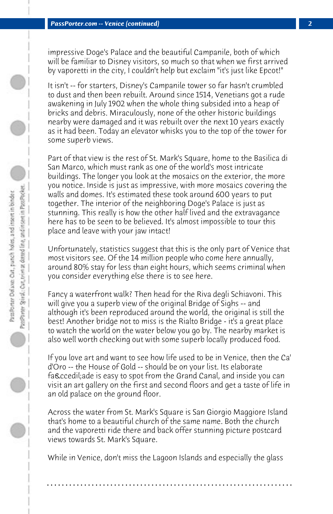PassPorter Spiral: Car, trim at dotted line, and insert in PassPocket. PassPorter Delaxe: Cut, panch holes, and insert in binder

impressive Doge's Palace and the beautiful Campanile, both of which will be familiar to Disney visitors, so much so that when we first arrived by vaporetti in the city, I couldn't help but exclaim "it's just like Epcot!"

It isn't -- for starters, Disney's Campanile tower so far hasn't crumbled to dust and then been rebuilt. Around since 1514, Venetians got a rude awakening in July 1902 when the whole thing subsided into a heap of bricks and debris. Miraculously, none of the other historic buildings nearby were damaged and it was rebuilt over the next 10 years exactly as it had been. Today an elevator whisks you to the top of the tower for some superb views.

Part of that view is the rest of St. Mark's Square, home to the Basilica di San Marco, which must rank as one of the world's most intricate buildings. The longer you look at the mosaics on the exterior, the more you notice. Inside is just as impressive, with more mosaics covering the walls and domes. It's estimated these took around 600 years to put together. The interior of the neighboring Doge's Palace is just as stunning. This really is how the other half lived and the extravagance here has to be seen to be believed. It's almost impossible to tour this place and leave with your jaw intact!

Unfortunately, statistics suggest that this is the only part of Venice that most visitors see. Of the 14 million people who come here annually, around 80% stay for less than eight hours, which seems criminal when you consider everything else there is to see here.

Fancy a waterfront walk? Then head for the Riva degli Schiavoni. This will give you a superb view of the original Bridge of Sighs -- and although it's been reproduced around the world, the original is still the best! Another bridge not to miss is the Rialto Bridge - it's a great place to watch the world on the water below you go by. The nearby market is also well worth checking out with some superb locally produced food.

If you love art and want to see how life used to be in Venice, then the Ca' d'Oro -- the House of Gold -- should be on your list. Its elaborate façade is easy to spot from the Grand Canal, and inside you can visit an art gallery on the first and second floors and get a taste of life in an old palace on the ground floor.

Across the water from St. Mark's Square is San Giorgio Maggiore Island that's home to a beautiful church of the same name. Both the church and the vaporetti ride there and back offer stunning picture postcard views towards St. Mark's Square.

While in Venice, don't miss the Lagoon Islands and especially the glass

**. . . . . . . . . . . . . . . . . . . . . . . . . . . . . . . . . . . . . . . . . . . . . . . . . . . . . . . . . . . . . . . . . .**